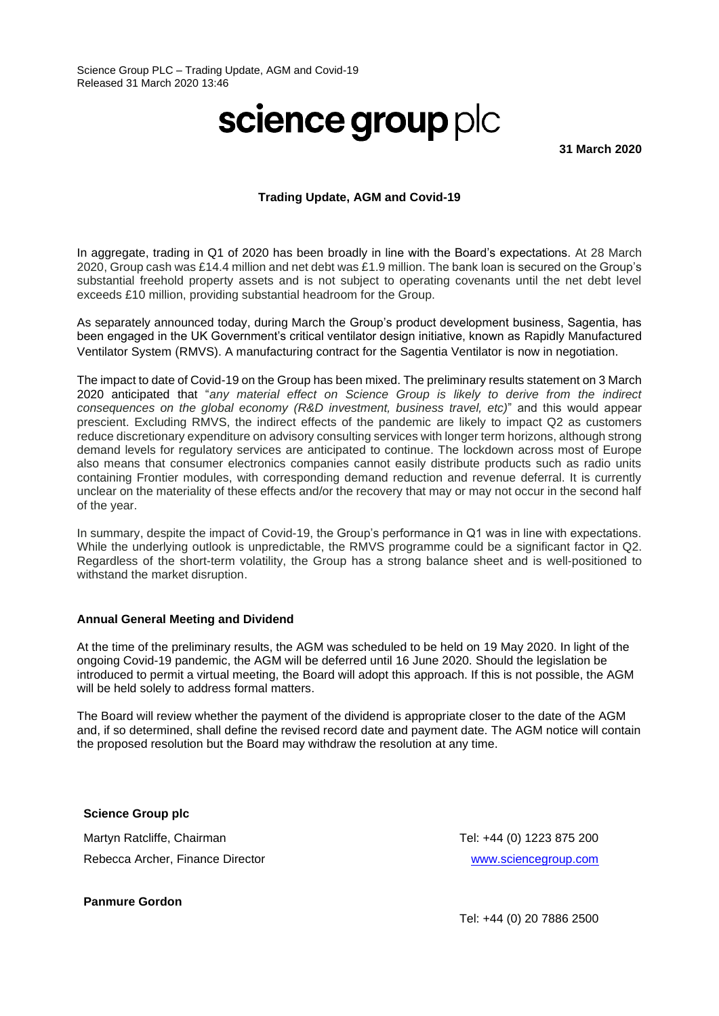## science group plc

**31 March 2020**

## **Trading Update, AGM and Covid-19**

In aggregate, trading in Q1 of 2020 has been broadly in line with the Board's expectations. At 28 March 2020, Group cash was £14.4 million and net debt was £1.9 million. The bank loan is secured on the Group's substantial freehold property assets and is not subject to operating covenants until the net debt level exceeds £10 million, providing substantial headroom for the Group.

As separately announced today, during March the Group's product development business, Sagentia, has been engaged in the UK Government's critical ventilator design initiative, known as Rapidly Manufactured Ventilator System (RMVS). A manufacturing contract for the Sagentia Ventilator is now in negotiation.

The impact to date of Covid-19 on the Group has been mixed. The preliminary results statement on 3 March 2020 anticipated that "*any material effect on Science Group is likely to derive from the indirect consequences on the global economy (R&D investment, business travel, etc)*" and this would appear prescient. Excluding RMVS, the indirect effects of the pandemic are likely to impact Q2 as customers reduce discretionary expenditure on advisory consulting services with longer term horizons, although strong demand levels for regulatory services are anticipated to continue. The lockdown across most of Europe also means that consumer electronics companies cannot easily distribute products such as radio units containing Frontier modules, with corresponding demand reduction and revenue deferral. It is currently unclear on the materiality of these effects and/or the recovery that may or may not occur in the second half of the year.

In summary, despite the impact of Covid-19, the Group's performance in Q1 was in line with expectations. While the underlying outlook is unpredictable, the RMVS programme could be a significant factor in Q2. Regardless of the short-term volatility, the Group has a strong balance sheet and is well-positioned to withstand the market disruption.

## **Annual General Meeting and Dividend**

At the time of the preliminary results, the AGM was scheduled to be held on 19 May 2020. In light of the ongoing Covid-19 pandemic, the AGM will be deferred until 16 June 2020. Should the legislation be introduced to permit a virtual meeting, the Board will adopt this approach. If this is not possible, the AGM will be held solely to address formal matters.

The Board will review whether the payment of the dividend is appropriate closer to the date of the AGM and, if so determined, shall define the revised record date and payment date. The AGM notice will contain the proposed resolution but the Board may withdraw the resolution at any time.

**Science Group plc**

Martyn Ratcliffe, Chairman Rebecca Archer, Finance Director Tel: +44 (0) 1223 875 200 [www.sciencegroup.com](http://www.sciencegroup.com/)

**Panmure Gordon**

Tel: +44 (0) 20 7886 2500